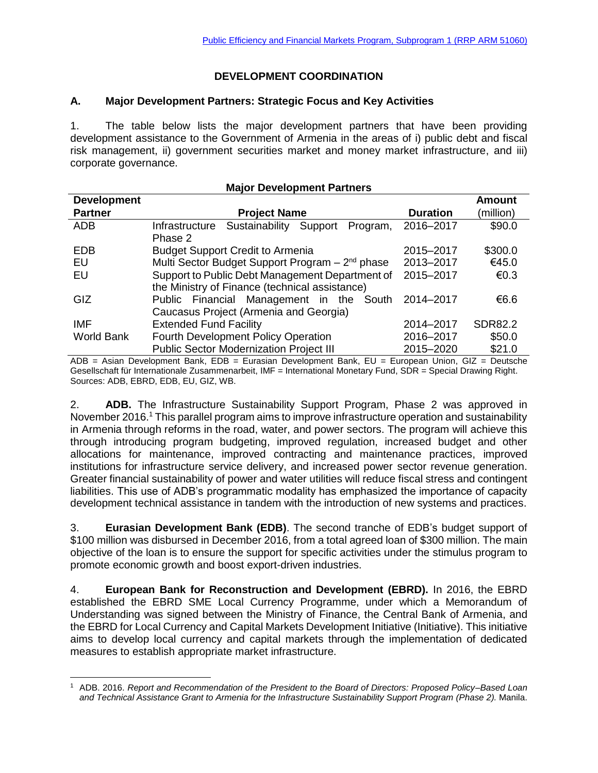## **DEVELOPMENT COORDINATION**

### **A. Major Development Partners: Strategic Focus and Key Activities**

1. The table below lists the major development partners that have been providing development assistance to the Government of Armenia in the areas of i) public debt and fiscal risk management, ii) government securities market and money market infrastructure, and iii) corporate governance.

| <b>Development</b> |                                                             |                 | <b>Amount</b>  |
|--------------------|-------------------------------------------------------------|-----------------|----------------|
| <b>Partner</b>     | <b>Project Name</b>                                         | <b>Duration</b> | (million)      |
| <b>ADB</b>         | Sustainability<br>Infrastructure<br>Support<br>Program,     | 2016-2017       | \$90.0         |
|                    | Phase 2                                                     |                 |                |
| <b>EDB</b>         | <b>Budget Support Credit to Armenia</b>                     | 2015-2017       | \$300.0        |
| EU                 | Multi Sector Budget Support Program - 2 <sup>nd</sup> phase | 2013-2017       | €45.0          |
| EU                 | Support to Public Debt Management Department of             | 2015-2017       | €0.3           |
|                    | the Ministry of Finance (technical assistance)              |                 |                |
| <b>GIZ</b>         | Public Financial Management in the<br>South                 | 2014-2017       | €6.6           |
|                    | Caucasus Project (Armenia and Georgia)                      |                 |                |
| <b>IMF</b>         | <b>Extended Fund Facility</b>                               | 2014-2017       | <b>SDR82.2</b> |
| <b>World Bank</b>  | <b>Fourth Development Policy Operation</b>                  | 2016-2017       | \$50.0         |
|                    | <b>Public Sector Modernization Project III</b>              | 2015-2020       | \$21.0         |

#### **Major Development Partners**

ADB = Asian Development Bank, EDB = Eurasian Development Bank, EU = European Union, GIZ = Deutsche Gesellschaft für Internationale Zusammenarbeit, IMF = International Monetary Fund, SDR = Special Drawing Right. Sources: ADB, EBRD, EDB, EU, GIZ, WB.

2. **ADB.** The Infrastructure Sustainability Support Program, Phase 2 was approved in November 2016.<sup>1</sup> This parallel program aims to improve infrastructure operation and sustainability in Armenia through reforms in the road, water, and power sectors. The program will achieve this through introducing program budgeting, improved regulation, increased budget and other allocations for maintenance, improved contracting and maintenance practices, improved institutions for infrastructure service delivery, and increased power sector revenue generation. Greater financial sustainability of power and water utilities will reduce fiscal stress and contingent liabilities. This use of ADB's programmatic modality has emphasized the importance of capacity development technical assistance in tandem with the introduction of new systems and practices.

3. **Eurasian Development Bank (EDB)**. The second tranche of EDB's budget support of \$100 million was disbursed in December 2016, from a total agreed loan of \$300 million. The main objective of the loan is to ensure the support for specific activities under the stimulus program to promote economic growth and boost export-driven industries.

4. **European Bank for Reconstruction and Development (EBRD).** In 2016, the EBRD established the EBRD SME Local Currency Programme, under which a Memorandum of Understanding was signed between the Ministry of Finance, the Central Bank of Armenia, and the EBRD for Local Currency and Capital Markets Development Initiative (Initiative). This initiative aims to develop local currency and capital markets through the implementation of dedicated measures to establish appropriate market infrastructure.

 $\overline{a}$ <sup>1</sup> ADB. 2016. *Report and Recommendation of the President to the Board of Directors: Proposed Policy–Based Loan and Technical Assistance Grant to Armenia for the Infrastructure Sustainability Support Program (Phase 2).* Manila.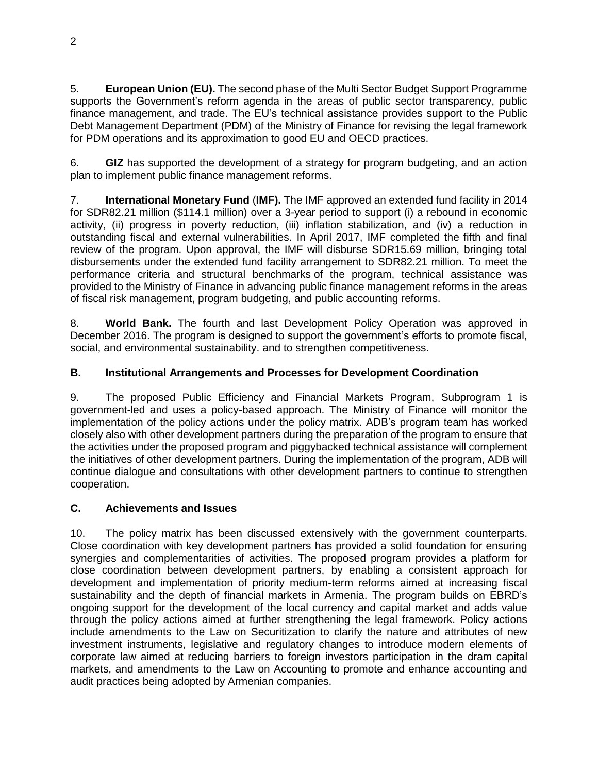5. **European Union (EU).** The second phase of the Multi Sector Budget Support Programme supports the Government's reform agenda in the areas of public sector transparency, public finance management, and trade. The EU's technical assistance provides support to the Public Debt Management Department (PDM) of the Ministry of Finance for revising the legal framework for PDM operations and its approximation to good EU and OECD practices.

6. **GIZ** has supported the development of a strategy for program budgeting, and an action plan to implement public finance management reforms.

7. **International Monetary Fund** (**IMF).** The IMF approved an extended fund facility in 2014 for SDR82.21 million (\$114.1 million) over a 3-year period to support (i) a rebound in economic activity, (ii) progress in poverty reduction, (iii) inflation stabilization, and (iv) a reduction in outstanding fiscal and external vulnerabilities. In April 2017, IMF completed the fifth and final review of the program. Upon approval, the IMF will disburse SDR15.69 million, bringing total disbursements under the extended fund facility arrangement to SDR82.21 million. To meet the performance criteria and structural benchmarks of the program, technical assistance was provided to the Ministry of Finance in advancing public finance management reforms in the areas of fiscal risk management, program budgeting, and public accounting reforms.

8. **World Bank.** The fourth and last Development Policy Operation was approved in December 2016. The program is designed to support the government's efforts to promote fiscal, social, and environmental sustainability. and to strengthen competitiveness.

# **B. Institutional Arrangements and Processes for Development Coordination**

9. The proposed Public Efficiency and Financial Markets Program, Subprogram 1 is government-led and uses a policy-based approach. The Ministry of Finance will monitor the implementation of the policy actions under the policy matrix. ADB's program team has worked closely also with other development partners during the preparation of the program to ensure that the activities under the proposed program and piggybacked technical assistance will complement the initiatives of other development partners. During the implementation of the program, ADB will continue dialogue and consultations with other development partners to continue to strengthen cooperation.

## **C. Achievements and Issues**

10. The policy matrix has been discussed extensively with the government counterparts. Close coordination with key development partners has provided a solid foundation for ensuring synergies and complementarities of activities. The proposed program provides a platform for close coordination between development partners, by enabling a consistent approach for development and implementation of priority medium-term reforms aimed at increasing fiscal sustainability and the depth of financial markets in Armenia. The program builds on EBRD's ongoing support for the development of the local currency and capital market and adds value through the policy actions aimed at further strengthening the legal framework. Policy actions include amendments to the Law on Securitization to clarify the nature and attributes of new investment instruments, legislative and regulatory changes to introduce modern elements of corporate law aimed at reducing barriers to foreign investors participation in the dram capital markets, and amendments to the Law on Accounting to promote and enhance accounting and audit practices being adopted by Armenian companies.